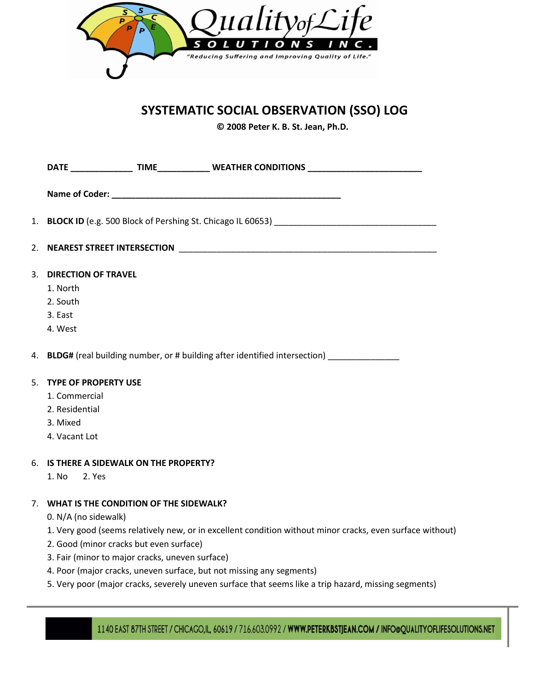

# **SYSTEMATIC SOCIAL OBSERVATION (SSO) LOG**

**© 2008 Peter K. B. St. Jean, Ph.D.**

| DATE __________________TIME_________________WEATHER CONDITIONS _________________________                                                                                                                                  |
|---------------------------------------------------------------------------------------------------------------------------------------------------------------------------------------------------------------------------|
|                                                                                                                                                                                                                           |
| 1. BLOCK ID (e.g. 500 Block of Pershing St. Chicago IL 60653) [14] [2010] [2010] [2010] [2010] [2010] [2010] [                                                                                                            |
|                                                                                                                                                                                                                           |
| 3. DIRECTION OF TRAVEL<br>1. North<br>2. South<br>3. East<br>4. West                                                                                                                                                      |
| 4. BLDG# (real building number, or # building after identified intersection)                                                                                                                                              |
| 5. TYPE OF PROPERTY USE<br>1. Commercial<br>2. Residential<br>3. Mixed<br>4. Vacant Lot                                                                                                                                   |
| 6. IS THERE A SIDEWALK ON THE PROPERTY?<br>1. No<br>2. Yes                                                                                                                                                                |
| 7. WHAT IS THE CONDITION OF THE SIDEWALK?<br>0. N/A (no sidewalk)<br>1. Very good (seems relatively new, or in excellent condition without minor cracks, even surface without)<br>2. Good (minor cracks but even surface) |

- 3. Fair (minor to major cracks, uneven surface)
- 4. Poor (major cracks, uneven surface, but not missing any segments)
- 5. Very poor (major cracks, severely uneven surface that seems like a trip hazard, missing segments)

1140 EAST 87TH STREET / CHICAGO,IL, 60619 / 716.603.0992 / WWW.PETERKBSTJEAN.COM / INFO@QUALITYOFLIFESOLUTIONS.NET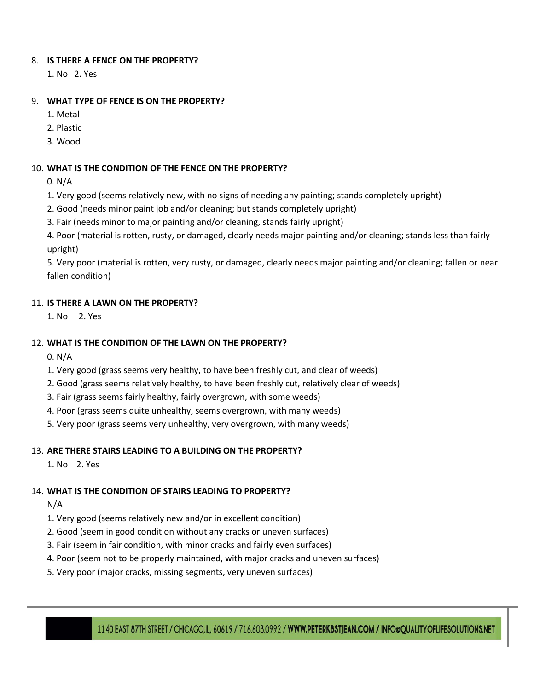#### 8. **IS THERE A FENCE ON THE PROPERTY?**

1. No 2. Yes

## 9. **WHAT TYPE OF FENCE IS ON THE PROPERTY?**

- 1. Metal
- 2. Plastic
- 3. Wood

# 10. **WHAT IS THE CONDITION OF THE FENCE ON THE PROPERTY?**

- 0. N/A
- 1. Very good (seems relatively new, with no signs of needing any painting; stands completely upright)
- 2. Good (needs minor paint job and/or cleaning; but stands completely upright)
- 3. Fair (needs minor to major painting and/or cleaning, stands fairly upright)

4. Poor (material is rotten, rusty, or damaged, clearly needs major painting and/or cleaning; stands less than fairly upright)

5. Very poor (material is rotten, very rusty, or damaged, clearly needs major painting and/or cleaning; fallen or near fallen condition)

#### 11. **IS THERE A LAWN ON THE PROPERTY?**

1. No 2. Yes

#### 12. **WHAT IS THE CONDITION OF THE LAWN ON THE PROPERTY?**

0. N/A

- 1. Very good (grass seems very healthy, to have been freshly cut, and clear of weeds)
- 2. Good (grass seems relatively healthy, to have been freshly cut, relatively clear of weeds)
- 3. Fair (grass seems fairly healthy, fairly overgrown, with some weeds)
- 4. Poor (grass seems quite unhealthy, seems overgrown, with many weeds)
- 5. Very poor (grass seems very unhealthy, very overgrown, with many weeds)

#### 13. **ARE THERE STAIRS LEADING TO A BUILDING ON THE PROPERTY?**

1. No 2. Yes

# 14. **WHAT IS THE CONDITION OF STAIRS LEADING TO PROPERTY?**

N/A

- 1. Very good (seems relatively new and/or in excellent condition)
- 2. Good (seem in good condition without any cracks or uneven surfaces)
- 3. Fair (seem in fair condition, with minor cracks and fairly even surfaces)
- 4. Poor (seem not to be properly maintained, with major cracks and uneven surfaces)
- 5. Very poor (major cracks, missing segments, very uneven surfaces)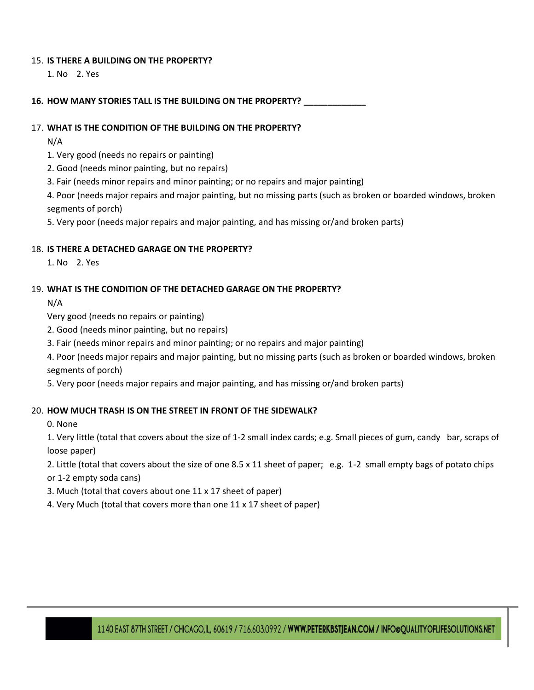#### 15. **IS THERE A BUILDING ON THE PROPERTY?**

1. No 2. Yes

16. HOW MANY STORIES TALL IS THE BUILDING ON THE PROPERTY?

#### 17. **WHAT IS THE CONDITION OF THE BUILDING ON THE PROPERTY?**

N/A

1. Very good (needs no repairs or painting)

2. Good (needs minor painting, but no repairs)

3. Fair (needs minor repairs and minor painting; or no repairs and major painting)

4. Poor (needs major repairs and major painting, but no missing parts (such as broken or boarded windows, broken segments of porch)

5. Very poor (needs major repairs and major painting, and has missing or/and broken parts)

#### 18. **IS THERE A DETACHED GARAGE ON THE PROPERTY?**

1. No 2. Yes

# 19. **WHAT IS THE CONDITION OF THE DETACHED GARAGE ON THE PROPERTY?**

N/A

Very good (needs no repairs or painting)

- 2. Good (needs minor painting, but no repairs)
- 3. Fair (needs minor repairs and minor painting; or no repairs and major painting)

4. Poor (needs major repairs and major painting, but no missing parts (such as broken or boarded windows, broken segments of porch)

5. Very poor (needs major repairs and major painting, and has missing or/and broken parts)

# 20. **HOW MUCH TRASH IS ON THE STREET IN FRONT OF THE SIDEWALK?**

0. None

1. Very little (total that covers about the size of 1-2 small index cards; e.g. Small pieces of gum, candy bar, scraps of loose paper)

2. Little (total that covers about the size of one 8.5 x 11 sheet of paper; e.g. 1-2 small empty bags of potato chips or 1-2 empty soda cans)

3. Much (total that covers about one 11 x 17 sheet of paper)

4. Very Much (total that covers more than one 11 x 17 sheet of paper)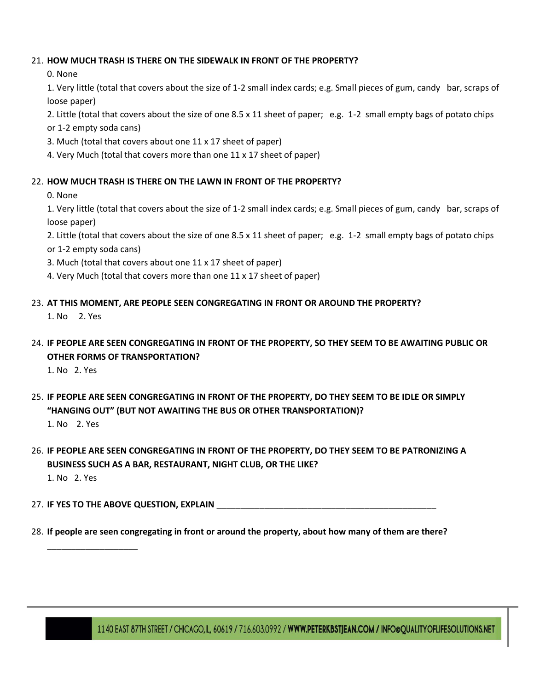## 21. **HOW MUCH TRASH IS THERE ON THE SIDEWALK IN FRONT OF THE PROPERTY?**

0. None

1. Very little (total that covers about the size of 1-2 small index cards; e.g. Small pieces of gum, candy bar, scraps of loose paper)

2. Little (total that covers about the size of one 8.5 x 11 sheet of paper; e.g. 1-2 small empty bags of potato chips or 1-2 empty soda cans)

- 
- 3. Much (total that covers about one 11 x 17 sheet of paper)
- 4. Very Much (total that covers more than one 11 x 17 sheet of paper)

# 22. **HOW MUCH TRASH IS THERE ON THE LAWN IN FRONT OF THE PROPERTY?**

0. None

1. Very little (total that covers about the size of 1-2 small index cards; e.g. Small pieces of gum, candy bar, scraps of loose paper)

2. Little (total that covers about the size of one 8.5 x 11 sheet of paper; e.g. 1-2 small empty bags of potato chips or 1-2 empty soda cans)

- 3. Much (total that covers about one 11 x 17 sheet of paper)
- 4. Very Much (total that covers more than one 11 x 17 sheet of paper)
- 23. **AT THIS MOMENT, ARE PEOPLE SEEN CONGREGATING IN FRONT OR AROUND THE PROPERTY?**

1. No 2. Yes

24. **IF PEOPLE ARE SEEN CONGREGATING IN FRONT OF THE PROPERTY, SO THEY SEEM TO BE AWAITING PUBLIC OR OTHER FORMS OF TRANSPORTATION?**

1. No 2. Yes

25. **IF PEOPLE ARE SEEN CONGREGATING IN FRONT OF THE PROPERTY, DO THEY SEEM TO BE IDLE OR SIMPLY "HANGING OUT" (BUT NOT AWAITING THE BUS OR OTHER TRANSPORTATION)?**

1. No 2. Yes

\_\_\_\_\_\_\_\_\_\_\_\_\_\_\_\_\_\_\_

26. **IF PEOPLE ARE SEEN CONGREGATING IN FRONT OF THE PROPERTY, DO THEY SEEM TO BE PATRONIZING A BUSINESS SUCH AS A BAR, RESTAURANT, NIGHT CLUB, OR THE LIKE?** 1. No 2. Yes

27. **IF YES TO THE ABOVE QUESTION, EXPLAIN** 

28. **If people are seen congregating in front or around the property, about how many of them are there?**

1140 EAST 87TH STREET / CHICAGO,IL, 60619 / 716.603.0992 / WWW.PETERKBSTJEAN.COM / INFO@QUALITYOFLIFESOLUTIONS.NET